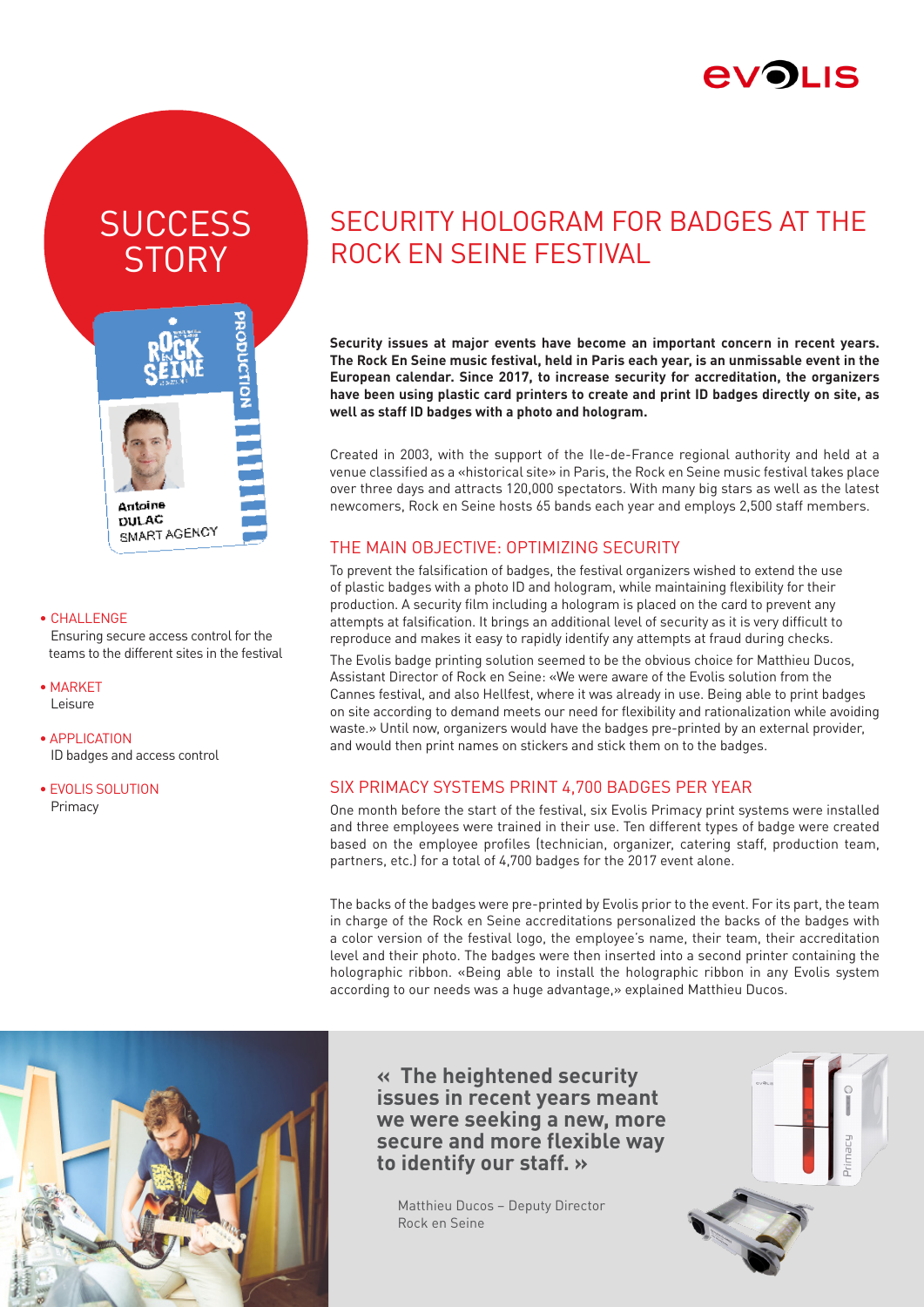

# **SUCCESS STORY**



#### • CHALLENGE

Ensuring secure access control for the teams to the different sites in the festival

- MARKET Leisure
- APPLICATION ID badges and access control
- EVOLIS SOLUTION Primacy

## SECURITY HOLOGRAM FOR BADGES AT THE ROCK EN SEINE FESTIVAL

**Security issues at major events have become an important concern in recent years. The Rock En Seine music festival, held in Paris each year, is an unmissable event in the European calendar. Since 2017, to increase security for accreditation, the organizers have been using plastic card printers to create and print ID badges directly on site, as well as staff ID badges with a photo and hologram.**

Created in 2003, with the support of the Ile-de-France regional authority and held at a venue classified as a «historical site» in Paris, the Rock en Seine music festival takes place over three days and attracts 120,000 spectators. With many big stars as well as the latest newcomers, Rock en Seine hosts 65 bands each year and employs 2,500 staff members.

## THE MAIN OBJECTIVE: OPTIMIZING SECURITY

To prevent the falsification of badges, the festival organizers wished to extend the use of plastic badges with a photo ID and hologram, while maintaining flexibility for their production. A security film including a hologram is placed on the card to prevent any attempts at falsification. It brings an additional level of security as it is very difficult to reproduce and makes it easy to rapidly identify any attempts at fraud during checks.

The Evolis badge printing solution seemed to be the obvious choice for Matthieu Ducos, Assistant Director of Rock en Seine: «We were aware of the Evolis solution from the Cannes festival, and also Hellfest, where it was already in use. Being able to print badges on site according to demand meets our need for flexibility and rationalization while avoiding waste.» Until now, organizers would have the badges pre-printed by an external provider, and would then print names on stickers and stick them on to the badges.

## SIX PRIMACY SYSTEMS PRINT 4,700 BADGES PER YEAR

One month before the start of the festival, six Evolis Primacy print systems were installed and three employees were trained in their use. Ten different types of badge were created based on the employee profiles (technician, organizer, catering staff, production team, partners, etc.) for a total of 4,700 badges for the 2017 event alone.

The backs of the badges were pre-printed by Evolis prior to the event. For its part, the team in charge of the Rock en Seine accreditations personalized the backs of the badges with a color version of the festival logo, the employee's name, their team, their accreditation level and their photo. The badges were then inserted into a second printer containing the holographic ribbon. «Being able to install the holographic ribbon in any Evolis system according to our needs was a huge advantage,» explained Matthieu Ducos.



**« The heightened security issues in recent years meant we were seeking a new, more secure and more flexible way to identify our staff. »**

 Matthieu Ducos – Deputy Director Rock en Seine